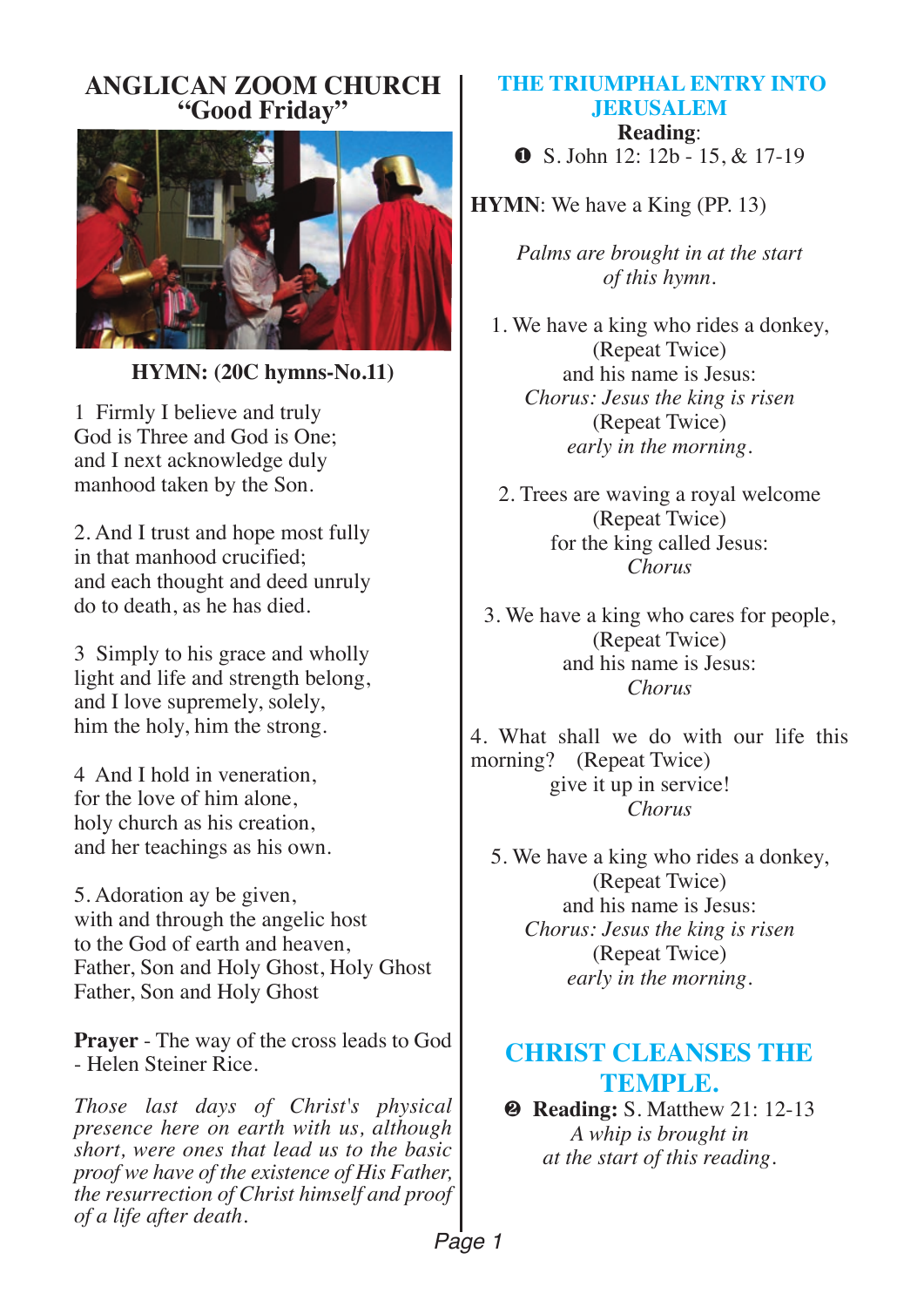#### **ANGLICAN ZOOM CHURCH "Good Friday"**



**HYMN: (20C hymns-No.11)** 

1 Firmly I believe and truly God is Three and God is One; and I next acknowledge duly manhood taken by the Son.

2. And I trust and hope most fully in that manhood crucified; and each thought and deed unruly do to death, as he has died.

3 Simply to his grace and wholly light and life and strength belong, and I love supremely, solely, him the holy, him the strong.

4 And I hold in veneration, for the love of him alone, holy church as his creation, and her teachings as his own.

5. Adoration ay be given, with and through the angelic host to the God of earth and heaven, Father, Son and Holy Ghost, Holy Ghost Father, Son and Holy Ghost

**Prayer** - The way of the cross leads to God - Helen Steiner Rice.

*Those last days of Christ's physical presence here on earth with us, although short, were ones that lead us to the basic proof we have of the existence of His Father, the resurrection of Christ himself and proof of a life after death.*

## **THE TRIUMPHAL ENTRY INTO JERUSALEM Reading**:

∂ S. John 12: 12b - 15, & 17-19

**HYMN**: We have a King (PP. 13)

*Palms are brought in at the start of this hymn.*

1. We have a king who rides a donkey, (Repeat Twice) and his name is Jesus: *Chorus: Jesus the king is risen*  (Repeat Twice) *early in the morning.*

2. Trees are waving a royal welcome (Repeat Twice) for the king called Jesus: *Chorus*

3. We have a king who cares for people, (Repeat Twice) and his name is Jesus: *Chorus*

4. What shall we do with our life this morning? (Repeat Twice) give it up in service! *Chorus* 

5. We have a king who rides a donkey, (Repeat Twice) and his name is Jesus: *Chorus: Jesus the king is risen*  (Repeat Twice) *early in the morning.*

# **CHRIST CLEANSES THE TEMPLE.**

**<sup>■</sup> Reading: S. Matthew 21: 12-13** *A whip is brought in at the start of this reading.*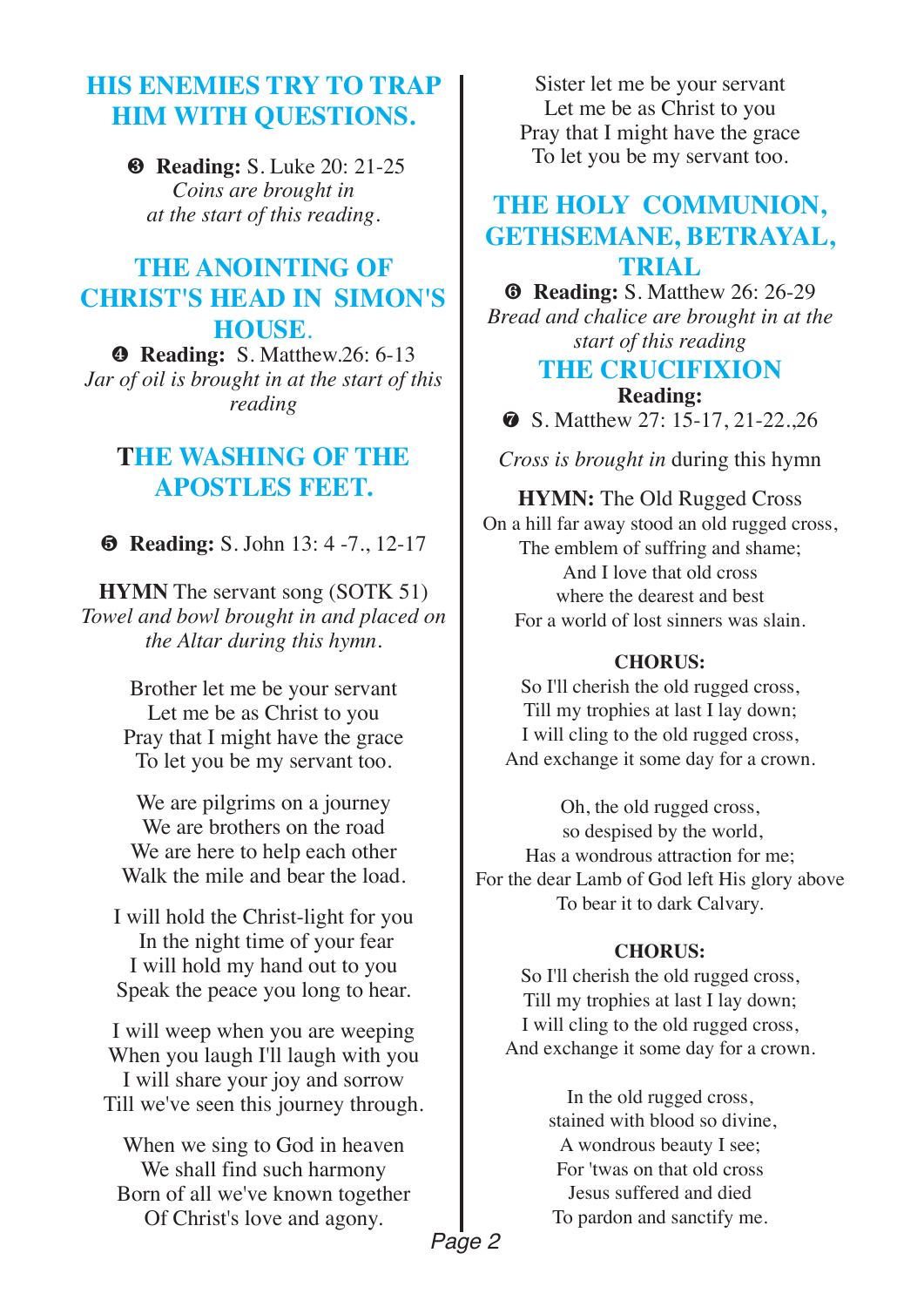## **HIS ENEMIES TRY TO TRAP HIM WITH QUESTIONS.**

∏ **Reading:** S. Luke 20: 21-25 *Coins are brought in at the start of this reading.*

# **THE ANOINTING OF CHRIST'S HEAD IN SIMON'S**

**HOUSE.**<br>**<b>e** Reading: S. Matthew.26: 6-13 *Jar of oil is brought in at the start of this reading*

## **THE WASHING OF THE APOSTLES FEET.**

∫ **Reading:** S. John 13: 4 -7., 12-17

**HYMN** The servant song (SOTK 51) *Towel and bowl brought in and placed on the Altar during this hymn.*

> Brother let me be your servant Let me be as Christ to you Pray that I might have the grace To let you be my servant too.

We are pilgrims on a journey We are brothers on the road We are here to help each other Walk the mile and bear the load.

I will hold the Christ-light for you In the night time of your fear I will hold my hand out to you Speak the peace you long to hear.

I will weep when you are weeping When you laugh I'll laugh with you I will share your joy and sorrow Till we've seen this journey through.

When we sing to God in heaven We shall find such harmony Born of all we've known together Of Christ's love and agony.

Sister let me be your servant Let me be as Christ to you Pray that I might have the grace To let you be my servant too.

# **THE HOLY COMMUNION, GETHSEMANE, BETRAYAL, TRIAL**

**<sup><b>@</sup>** Reading: *S.* Matthew 26: 26-29</sup> *Bread and chalice are brought in at the start of this reading*

# **THE CRUCIFIXION**

**Reading: 8** S. Matthew 27: 15-17, 21-22, 26

*Cross is brought in* during this hymn

#### **HYMN:** The Old Rugged Cross On a hill far away stood an old rugged cross, The emblem of suffring and shame; And I love that old cross

where the dearest and best For a world of lost sinners was slain.

#### **CHORUS:**

So I'll cherish the old rugged cross, Till my trophies at last I lay down; I will cling to the old rugged cross, And exchange it some day for a crown.

Oh, the old rugged cross, so despised by the world, Has a wondrous attraction for me; For the dear Lamb of God left His glory above To bear it to dark Calvary.

#### **CHORUS:**

So I'll cherish the old rugged cross, Till my trophies at last I lay down; I will cling to the old rugged cross, And exchange it some day for a crown.

> In the old rugged cross, stained with blood so divine, A wondrous beauty I see; For 'twas on that old cross Jesus suffered and died To pardon and sanctify me.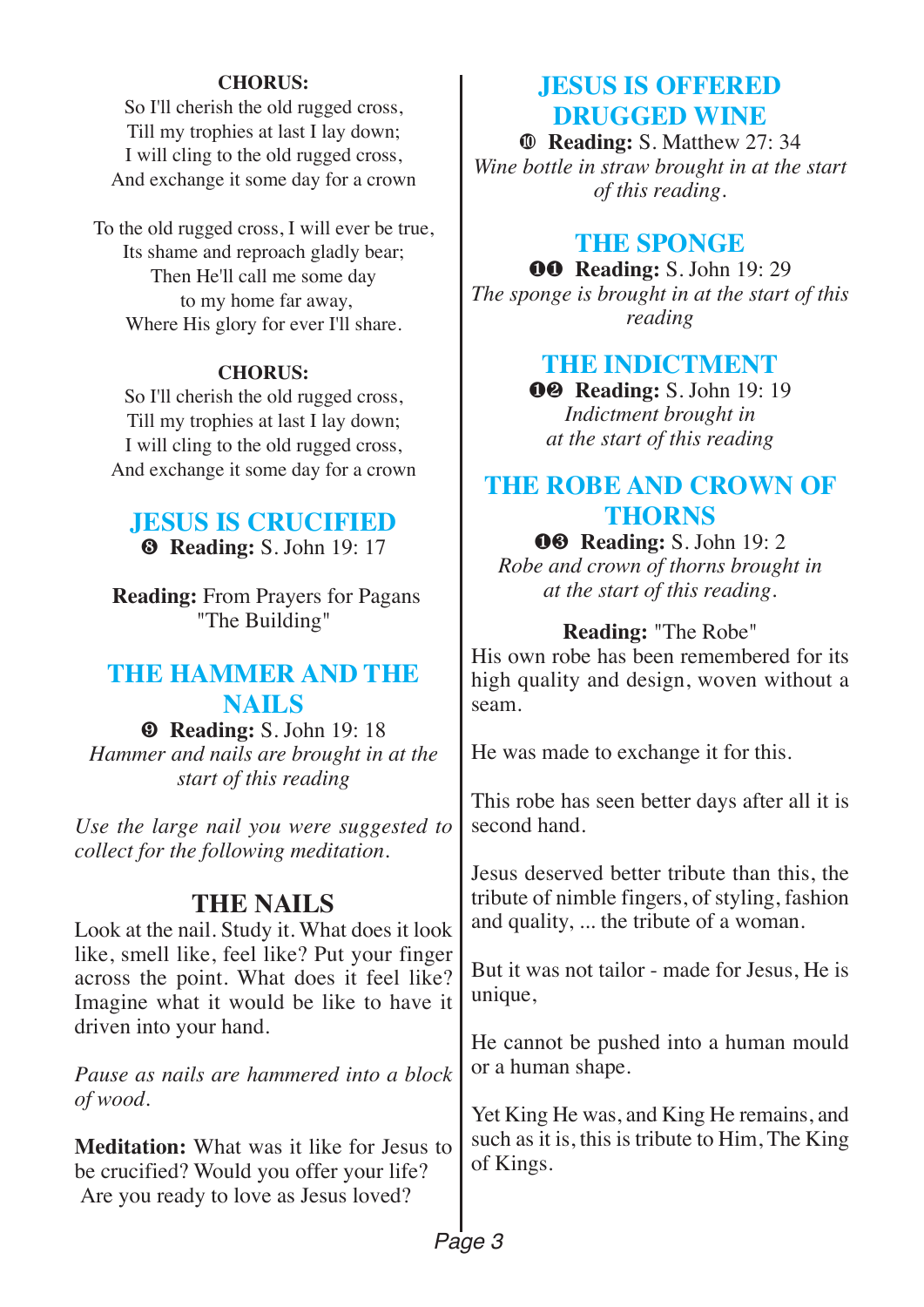#### **CHORUS:**

So I'll cherish the old rugged cross, Till my trophies at last I lay down; I will cling to the old rugged cross, And exchange it some day for a crown

To the old rugged cross, I will ever be true, Its shame and reproach gladly bear; Then He'll call me some day to my home far away, Where His glory for ever I'll share.

#### **CHORUS:**

So I'll cherish the old rugged cross, Till my trophies at last I lay down; I will cling to the old rugged cross, And exchange it some day for a crown

#### **JESUS IS CRUCIFIED** Ω **Reading:** S. John 19: 17

**Reading:** From Prayers for Pagans "The Building"

## **THE HAMMER AND THE NAILS**

æ **Reading:** S. John 19: 18 *Hammer and nails are brought in at the start of this reading* 

*Use the large nail you were suggested to collect for the following meditation*.

## **THE NAILS**

Look at the nail. Study it. What does it look like, smell like, feel like? Put your finger across the point. What does it feel like? Imagine what it would be like to have it driven into your hand.

*Pause as nails are hammered into a block of wood.*

**Meditation:** What was it like for Jesus to be crucified? Would you offer your life? Are you ready to love as Jesus loved?

## **JESUS IS OFFERED DRUGGED WINE**

ø **Reading:** S. Matthew 27: 34 *Wine bottle in straw brought in at the start of this reading.* 

## **THE SPONGE**

∂∂ **Reading:** S. John 19: 29 *The sponge is brought in at the start of this reading*

## **THE INDICTMENT**

∂∑ **Reading:** S. John 19: 19 *Indictment brought in at the start of this reading*

## **THE ROBE AND CROWN OF THORNS**

∂∏ **Reading:** S. John 19: 2 *Robe and crown of thorns brought in* 

*at the start of this reading.*

#### **Reading:** "The Robe"

His own robe has been remembered for its high quality and design, woven without a seam.

He was made to exchange it for this.

This robe has seen better days after all it is second hand.

Jesus deserved better tribute than this, the tribute of nimble fingers, of styling, fashion and quality, ... the tribute of a woman.

But it was not tailor - made for Jesus, He is unique,

He cannot be pushed into a human mould or a human shape.

Yet King He was, and King He remains, and such as it is, this is tribute to Him, The King of Kings.